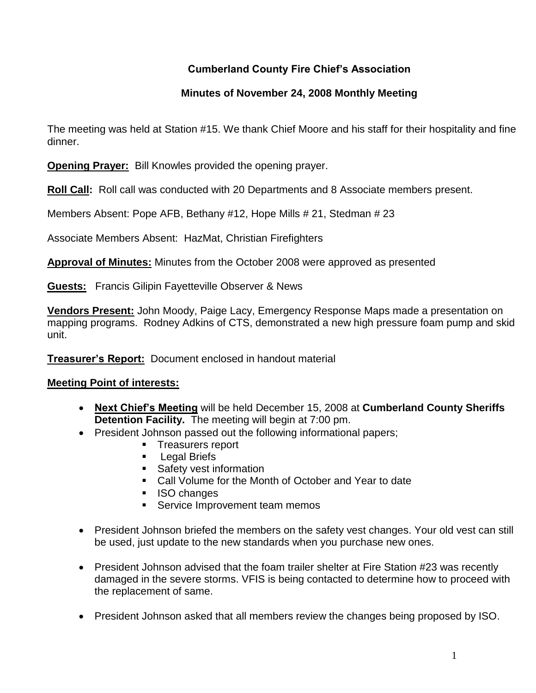# **Cumberland County Fire Chief's Association**

# **Minutes of November 24, 2008 Monthly Meeting**

The meeting was held at Station #15. We thank Chief Moore and his staff for their hospitality and fine dinner.

**Opening Prayer:** Bill Knowles provided the opening prayer.

**Roll Call:** Roll call was conducted with 20 Departments and 8 Associate members present.

Members Absent: Pope AFB, Bethany #12, Hope Mills # 21, Stedman # 23

Associate Members Absent: HazMat, Christian Firefighters

**Approval of Minutes:** Minutes from the October 2008 were approved as presented

**Guests:** Francis Gilipin Fayetteville Observer & News

**Vendors Present:** John Moody, Paige Lacy, Emergency Response Maps made a presentation on mapping programs. Rodney Adkins of CTS, demonstrated a new high pressure foam pump and skid unit.

**Treasurer's Report:** Document enclosed in handout material

### **Meeting Point of interests:**

- **Next Chief's Meeting** will be held December 15, 2008 at **Cumberland County Sheriffs Detention Facility.** The meeting will begin at 7:00 pm.
- President Johnson passed out the following informational papers;
	- **Treasurers report**
	- **Legal Briefs**
	- **Safety vest information**
	- Call Volume for the Month of October and Year to date
	- **ISO changes**
	- **Service Improvement team memos**
- President Johnson briefed the members on the safety vest changes. Your old vest can still be used, just update to the new standards when you purchase new ones.
- President Johnson advised that the foam trailer shelter at Fire Station #23 was recently damaged in the severe storms. VFIS is being contacted to determine how to proceed with the replacement of same.
- President Johnson asked that all members review the changes being proposed by ISO.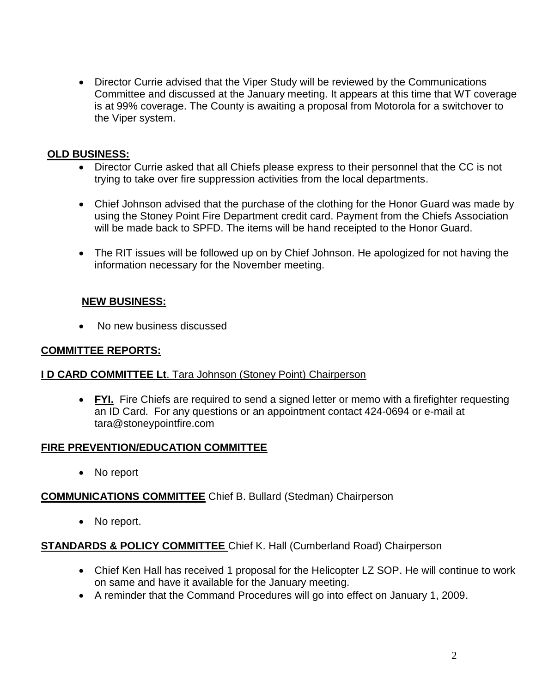• Director Currie advised that the Viper Study will be reviewed by the Communications Committee and discussed at the January meeting. It appears at this time that WT coverage is at 99% coverage. The County is awaiting a proposal from Motorola for a switchover to the Viper system.

#### **OLD BUSINESS:**

- Director Currie asked that all Chiefs please express to their personnel that the CC is not trying to take over fire suppression activities from the local departments.
- Chief Johnson advised that the purchase of the clothing for the Honor Guard was made by using the Stoney Point Fire Department credit card. Payment from the Chiefs Association will be made back to SPFD. The items will be hand receipted to the Honor Guard.
- The RIT issues will be followed up on by Chief Johnson. He apologized for not having the information necessary for the November meeting.

### **NEW BUSINESS:**

• No new business discussed

#### **COMMITTEE REPORTS:**

#### **I D CARD COMMITTEE Lt**. Tara Johnson (Stoney Point) Chairperson

• FYI. Fire Chiefs are required to send a signed letter or memo with a firefighter requesting an ID Card. For any questions or an appointment contact 424-0694 or e-mail at [tara@stoneypointfire.com](mailto:tara@stoneypointfire.com)

#### **FIRE PREVENTION/EDUCATION COMMITTEE**

• No report

### **COMMUNICATIONS COMMITTEE** Chief B. Bullard (Stedman) Chairperson

• No report.

### **STANDARDS & POLICY COMMITTEE** Chief K. Hall (Cumberland Road) Chairperson

- Chief Ken Hall has received 1 proposal for the Helicopter LZ SOP. He will continue to work on same and have it available for the January meeting.
- A reminder that the Command Procedures will go into effect on January 1, 2009.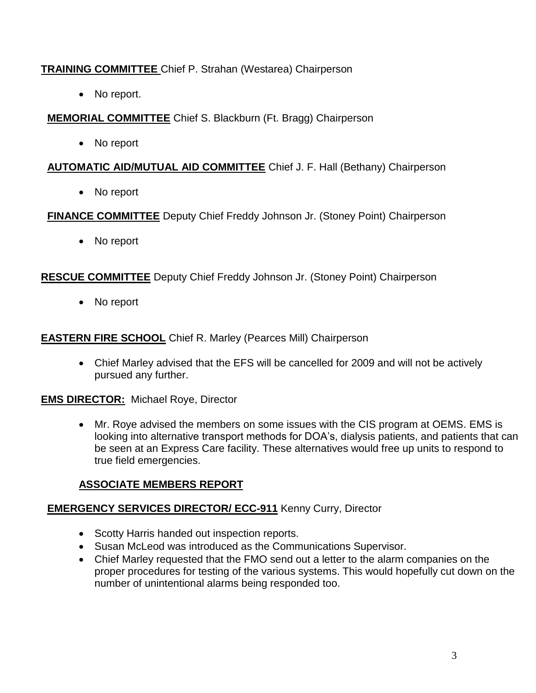# **TRAINING COMMITTEE** Chief P. Strahan (Westarea) Chairperson

• No report.

**MEMORIAL COMMITTEE** Chief S. Blackburn (Ft. Bragg) Chairperson

No report

# **AUTOMATIC AID/MUTUAL AID COMMITTEE** Chief J. F. Hall (Bethany) Chairperson

• No report

**FINANCE COMMITTEE** Deputy Chief Freddy Johnson Jr. (Stoney Point) Chairperson

• No report

**RESCUE COMMITTEE** Deputy Chief Freddy Johnson Jr. (Stoney Point) Chairperson

• No report

### **EASTERN FIRE SCHOOL** Chief R. Marley (Pearces Mill) Chairperson

 Chief Marley advised that the EFS will be cancelled for 2009 and will not be actively pursued any further.

### **EMS DIRECTOR:** Michael Roye, Director

 Mr. Roye advised the members on some issues with the CIS program at OEMS. EMS is looking into alternative transport methods for DOA's, dialysis patients, and patients that can be seen at an Express Care facility. These alternatives would free up units to respond to true field emergencies.

# **ASSOCIATE MEMBERS REPORT**

# **EMERGENCY SERVICES DIRECTOR/ ECC-911** Kenny Curry, Director

- Scotty Harris handed out inspection reports.
- Susan McLeod was introduced as the Communications Supervisor.
- Chief Marley requested that the FMO send out a letter to the alarm companies on the proper procedures for testing of the various systems. This would hopefully cut down on the number of unintentional alarms being responded too.